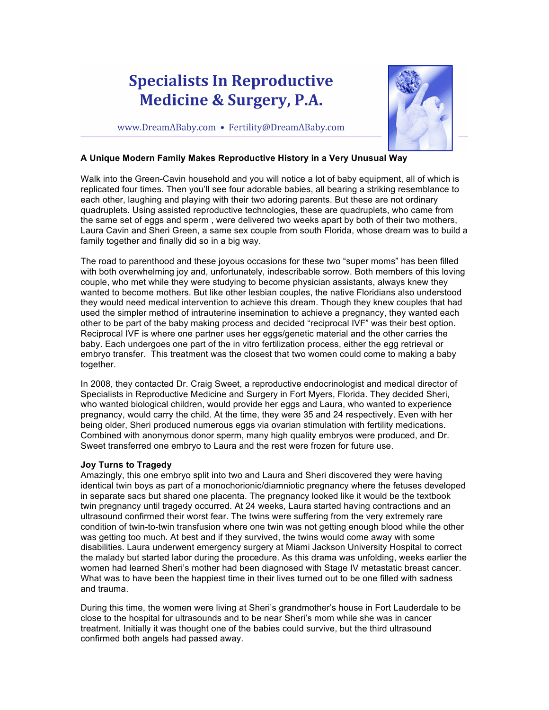## **Specialists In Reproductive Medicine & Surgery, P.A.**

www.DreamABaby.com • Fertility@DreamABaby.com

## **A Unique Modern Family Makes Reproductive History in a Very Unusual Way**

Walk into the Green-Cavin household and you will notice a lot of baby equipment, all of which is replicated four times. Then you'll see four adorable babies, all bearing a striking resemblance to each other, laughing and playing with their two adoring parents. But these are not ordinary quadruplets. Using assisted reproductive technologies, these are quadruplets, who came from the same set of eggs and sperm , were delivered two weeks apart by both of their two mothers, Laura Cavin and Sheri Green, a same sex couple from south Florida, whose dream was to build a family together and finally did so in a big way.

The road to parenthood and these joyous occasions for these two "super moms" has been filled with both overwhelming joy and, unfortunately, indescribable sorrow. Both members of this loving couple, who met while they were studying to become physician assistants, always knew they wanted to become mothers. But like other lesbian couples, the native Floridians also understood they would need medical intervention to achieve this dream. Though they knew couples that had used the simpler method of intrauterine insemination to achieve a pregnancy, they wanted each other to be part of the baby making process and decided "reciprocal IVF" was their best option. Reciprocal IVF is where one partner uses her eggs/genetic material and the other carries the baby. Each undergoes one part of the in vitro fertilization process, either the egg retrieval or embryo transfer. This treatment was the closest that two women could come to making a baby together.

In 2008, they contacted Dr. Craig Sweet, a reproductive endocrinologist and medical director of Specialists in Reproductive Medicine and Surgery in Fort Myers, Florida. They decided Sheri, who wanted biological children, would provide her eggs and Laura, who wanted to experience pregnancy, would carry the child. At the time, they were 35 and 24 respectively. Even with her being older, Sheri produced numerous eggs via ovarian stimulation with fertility medications. Combined with anonymous donor sperm, many high quality embryos were produced, and Dr. Sweet transferred one embryo to Laura and the rest were frozen for future use.

## **Joy Turns to Tragedy**

Amazingly, this one embryo split into two and Laura and Sheri discovered they were having identical twin boys as part of a monochorionic/diamniotic pregnancy where the fetuses developed in separate sacs but shared one placenta. The pregnancy looked like it would be the textbook twin pregnancy until tragedy occurred. At 24 weeks, Laura started having contractions and an ultrasound confirmed their worst fear. The twins were suffering from the very extremely rare condition of twin-to-twin transfusion where one twin was not getting enough blood while the other was getting too much. At best and if they survived, the twins would come away with some disabilities. Laura underwent emergency surgery at Miami Jackson University Hospital to correct the malady but started labor during the procedure. As this drama was unfolding, weeks earlier the women had learned Sheri's mother had been diagnosed with Stage IV metastatic breast cancer. What was to have been the happiest time in their lives turned out to be one filled with sadness and trauma.

During this time, the women were living at Sheri's grandmother's house in Fort Lauderdale to be close to the hospital for ultrasounds and to be near Sheri's mom while she was in cancer treatment. Initially it was thought one of the babies could survive, but the third ultrasound confirmed both angels had passed away.